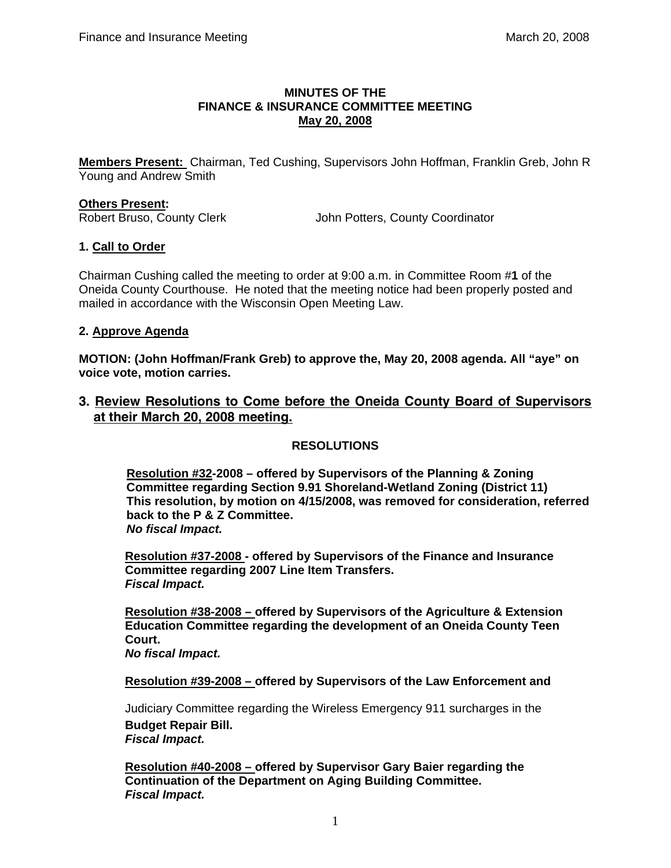### **MINUTES OF THE FINANCE & INSURANCE COMMITTEE MEETING May 20, 2008**

**Members Present:** Chairman, Ted Cushing, Supervisors John Hoffman, Franklin Greb, John R Young and Andrew Smith

#### **Others Present:**

Robert Bruso, County Clerk John Potters, County Coordinator

### **1. Call to Order**

Chairman Cushing called the meeting to order at 9:00 a.m. in Committee Room #**1** of the Oneida County Courthouse. He noted that the meeting notice had been properly posted and mailed in accordance with the Wisconsin Open Meeting Law.

### **2. Approve Agenda**

**MOTION: (John Hoffman/Frank Greb) to approve the, May 20, 2008 agenda. All "aye" on voice vote, motion carries.** 

**3. Review Resolutions to Come before the Oneida County Board of Supervisors at their March 20, 2008 meeting.**

## **RESOLUTIONS**

**Resolution #32-2008 – offered by Supervisors of the Planning & Zoning Committee regarding Section 9.91 Shoreland-Wetland Zoning (District 11) This resolution, by motion on 4/15/2008, was removed for consideration, referred back to the P & Z Committee.**  *No fiscal Impact.* 

 **Resolution #37-2008 - offered by Supervisors of the Finance and Insurance Committee regarding 2007 Line Item Transfers.** *Fiscal Impact.*

 **Resolution #38-2008 – offered by Supervisors of the Agriculture & Extension Education Committee regarding the development of an Oneida County Teen Court.** 

*No fiscal Impact.*

 **Resolution #39-2008 – offered by Supervisors of the Law Enforcement and** 

 Judiciary Committee regarding the Wireless Emergency 911 surcharges in the  **Budget Repair Bill.** *Fiscal Impact.* 

 **Resolution #40-2008 – offered by Supervisor Gary Baier regarding the Continuation of the Department on Aging Building Committee.** *Fiscal Impact.*